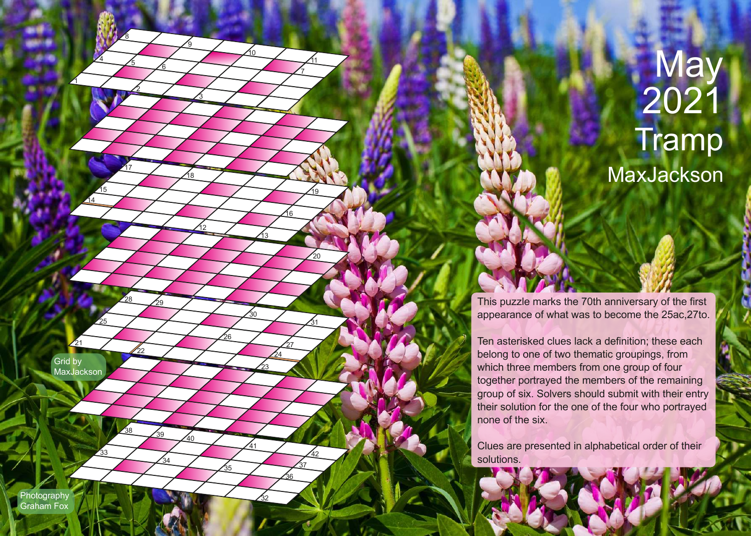## **May** 2021 **Tramp** MaxJackson

This puzzle marks the 70th anniversary of the first appearance of what was to become the 25ac,27to.

Ten asterisked clues lack a definition; these each belong to one of two thematic groupings, from which three members from one group of four together portrayed the members of the remaining group of six. Solvers should submit with their entry their solution for the one of the four who portrayed none of the six.

Clues are presented in alphabetical order of their solutions.

**Photography** Graham Fox

Grid by **MaxJackson** 

21

25

33

<u>14</u>

22

<u>29</u>

28

 $17$ 

2

5

8

 $\overline{4}$ 

1

 $\overline{38}$ 

26

 $\overline{35}$ 

40

<u> 18</u>

3

<u>១</u>

<u>6</u>

 $\frac{15}{10}$  /  $\frac{19}{10}$ 

12

.<br>34

39

23

30

13

<u>10</u>

41

32

31

20

42

 $\overline{37}$ 

27

 $\overline{24}$ 

16

7 11

 $36$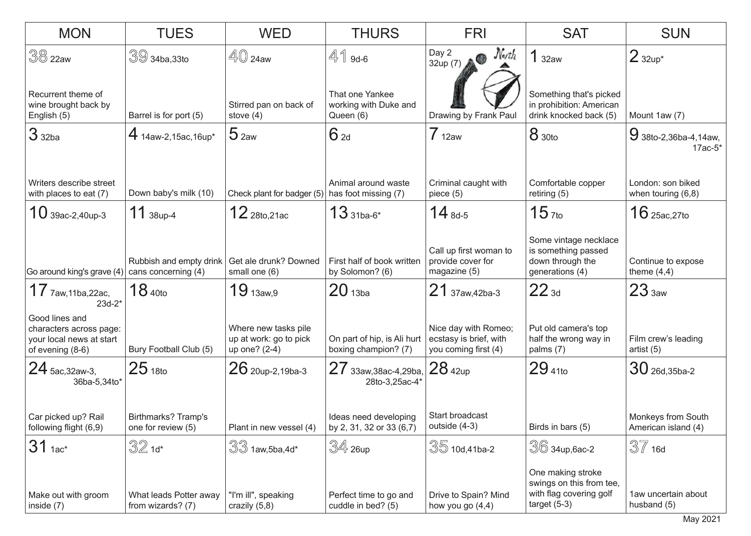| <b>MON</b>                                                                                            | <b>TUES</b>                                    | <b>WED</b>                                                      | <b>THURS</b>                                          | <b>FRI</b>                                                             | <b>SAT</b>                                                                                 | <b>SUN</b>                                |
|-------------------------------------------------------------------------------------------------------|------------------------------------------------|-----------------------------------------------------------------|-------------------------------------------------------|------------------------------------------------------------------------|--------------------------------------------------------------------------------------------|-------------------------------------------|
| 38 22aw                                                                                               | $39$ 34ba, 33to                                | $\mathbb{40}$ 24aw                                              | $41$ 9d-6                                             | North<br>Day 2<br>$\bullet$<br>32up $(7)$                              | 132aw                                                                                      | $2$ 32up*                                 |
| Recurrent theme of<br>wine brought back by<br>English (5)                                             | Barrel is for port (5)                         | Stirred pan on back of<br>stove $(4)$                           | That one Yankee<br>working with Duke and<br>Queen (6) | Drawing by Frank Paul                                                  | Something that's picked<br>in prohibition: American<br>drink knocked back (5)              | Mount 1aw (7)                             |
| 3 <sub>32ba</sub>                                                                                     | $4$ 14aw-2,15ac,16up*                          | 5 <sub>2aw</sub>                                                | 62d                                                   | $7_{12aw}$                                                             | <b>8</b> 30to                                                                              | 9 38to-2,36ba-4,14aw,<br>$17ac-5*$        |
| Writers describe street<br>with places to eat (7)                                                     | Down baby's milk (10)                          | Check plant for badger (5)                                      | Animal around waste<br>has foot missing (7)           | Criminal caught with<br>piece $(5)$                                    | Comfortable copper<br>retiring $(5)$                                                       | London: son biked<br>when touring $(6,8)$ |
| $10$ 39ac-2,40up-3                                                                                    | $11$ 38up-4                                    | $12$ 28to, 21ac                                                 | $13_{31ba-6^*}$                                       | $14_{8d-5}$                                                            | $15$ <sub>7to</sub>                                                                        | $16$ 25ac, 27to                           |
| Go around king's grave (4)                                                                            | Rubbish and empty drink<br>cans concerning (4) | Get ale drunk? Downed<br>small one (6)                          | First half of book written<br>by Solomon? (6)         | Call up first woman to<br>provide cover for<br>magazine (5)            | Some vintage necklace<br>is something passed<br>down through the<br>generations (4)        | Continue to expose<br>theme $(4,4)$       |
| $17$ $7$ aw,11ba,22ac,                                                                                | 18 <sub>40to</sub>                             | $19_{13aw,9}$                                                   | 20 <sub>13ba</sub>                                    | $21$ 37aw, 42ba-3                                                      | $22_{3d}$                                                                                  | 23 <sub>3aw</sub>                         |
| $23d-2*$<br>Good lines and<br>characters across page:<br>your local news at start<br>of evening (8-6) | Bury Football Club (5)                         | Where new tasks pile<br>up at work: go to pick<br>up one? (2-4) | On part of hip, is Ali hurt<br>boxing champion? (7)   | Nice day with Romeo;<br>ecstasy is brief, with<br>you coming first (4) | Put old camera's top<br>half the wrong way in<br>palms $(7)$                               | Film crew's leading<br>artist (5)         |
| $24$ 5ac, 32aw-3,<br>36ba-5,34to*                                                                     | $25$ 18to                                      | $26$ 20up-2,19ba-3                                              | $27$ 33aw, 38ac-4, 29ba, $28$ 42up<br>28to-3,25ac-4*  |                                                                        | $29_{410}$                                                                                 | $30$ 26d, 35ba-2                          |
| Car picked up? Rail<br>following flight (6,9)                                                         | Birthmarks? Tramp's<br>one for review (5)      | Plant in new vessel (4)                                         | Ideas need developing<br>by 2, 31, 32 or 33 (6,7)     | Start broadcast<br>outside (4-3)                                       | Birds in bars (5)                                                                          | Monkeys from South<br>American island (4) |
| $31$ 1ac*                                                                                             | $32$ 1d*                                       | $33$ 1aw, 5ba, 4d*                                              | $\mathbb{S}4$ 26up                                    | $35$ 10d,41ba-2                                                        | $\sqrt[3]{6}$ 34up, 6ac-2                                                                  | $37$ 16d                                  |
| Make out with groom<br>inside (7)                                                                     | What leads Potter away<br>from wizards? (7)    | "I'm ill", speaking<br>crazily $(5,8)$                          | Perfect time to go and<br>cuddle in bed? (5)          | Drive to Spain? Mind<br>how you go (4,4)                               | One making stroke<br>swings on this from tee,<br>with flag covering golf<br>target $(5-3)$ | 1aw uncertain about<br>husband (5)        |